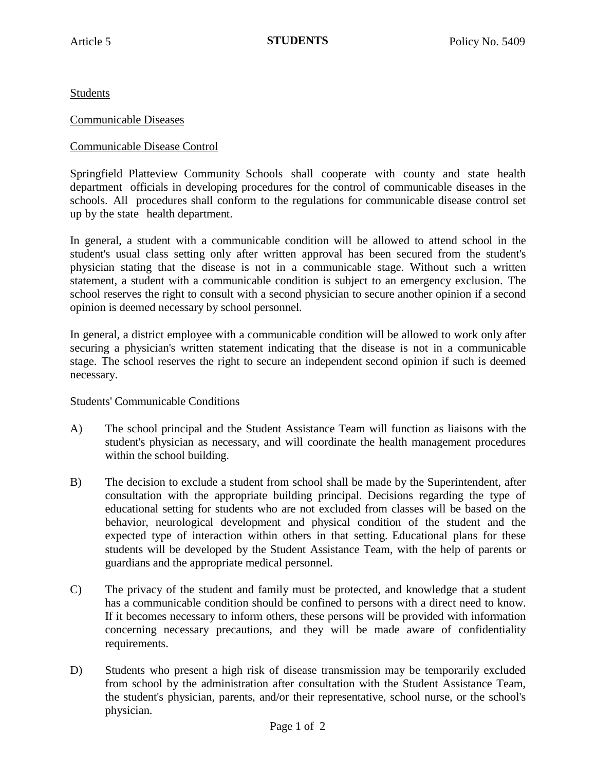Students

## Communicable Diseases

## Communicable Disease Control

Springfield Platteview Community Schools shall cooperate with county and state health department officials in developing procedures for the control of communicable diseases in the schools. All procedures shall conform to the regulations for communicable disease control set up by the state health department.

In general, a student with a communicable condition will be allowed to attend school in the student's usual class setting only after written approval has been secured from the student's physician stating that the disease is not in a communicable stage. Without such a written statement, a student with a communicable condition is subject to an emergency exclusion. The school reserves the right to consult with a second physician to secure another opinion if a second opinion is deemed necessary by school personnel.

In general, a district employee with a communicable condition will be allowed to work only after securing a physician's written statement indicating that the disease is not in a communicable stage. The school reserves the right to secure an independent second opinion if such is deemed necessary.

Students' Communicable Conditions

- A) The school principal and the Student Assistance Team will function as liaisons with the student's physician as necessary, and will coordinate the health management procedures within the school building.
- B) The decision to exclude a student from school shall be made by the Superintendent, after consultation with the appropriate building principal. Decisions regarding the type of educational setting for students who are not excluded from classes will be based on the behavior, neurological development and physical condition of the student and the expected type of interaction within others in that setting. Educational plans for these students will be developed by the Student Assistance Team, with the help of parents or guardians and the appropriate medical personnel.
- C) The privacy of the student and family must be protected, and knowledge that a student has a communicable condition should be confined to persons with a direct need to know. If it becomes necessary to inform others, these persons will be provided with information concerning necessary precautions, and they will be made aware of confidentiality requirements.
- D) Students who present a high risk of disease transmission may be temporarily excluded from school by the administration after consultation with the Student Assistance Team, the student's physician, parents, and/or their representative, school nurse, or the school's physician.